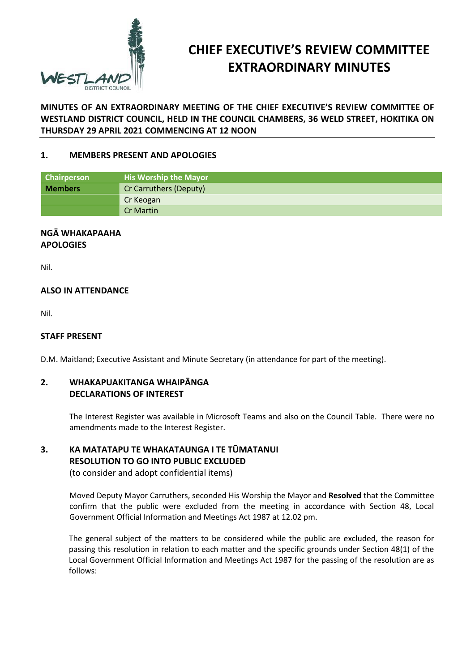

# **CHIEF EXECUTIVE'S REVIEW COMMITTEE EXTRAORDINARY MINUTES**

**MINUTES OF AN EXTRAORDINARY MEETING OF THE CHIEF EXECUTIVE'S REVIEW COMMITTEE OF WESTLAND DISTRICT COUNCIL, HELD IN THE COUNCIL CHAMBERS, 36 WELD STREET, HOKITIKA ON THURSDAY 29 APRIL 2021 COMMENCING AT 12 NOON**

## **1. MEMBERS PRESENT AND APOLOGIES**

| <b>Chairperson</b> | <b>His Worship the Mayor</b> |  |
|--------------------|------------------------------|--|
| <b>Members</b>     | Cr Carruthers (Deputy)       |  |
|                    | Cr Keogan                    |  |
|                    | <b>Cr Martin</b>             |  |

#### **NGĀ WHAKAPAAHA APOLOGIES**

Nil.

# **ALSO IN ATTENDANCE**

Nil.

#### **STAFF PRESENT**

D.M. Maitland; Executive Assistant and Minute Secretary (in attendance for part of the meeting).

### **2. WHAKAPUAKITANGA WHAIPĀNGA DECLARATIONS OF INTEREST**

The Interest Register was available in Microsoft Teams and also on the Council Table. There were no amendments made to the Interest Register.

# **3. KA MATATAPU TE WHAKATAUNGA I TE TŪMATANUI RESOLUTION TO GO INTO PUBLIC EXCLUDED**  (to consider and adopt confidential items)

Moved Deputy Mayor Carruthers, seconded His Worship the Mayor and **Resolved** that the Committee confirm that the public were excluded from the meeting in accordance with Section 48, Local Government Official Information and Meetings Act 1987 at 12.02 pm.

The general subject of the matters to be considered while the public are excluded, the reason for passing this resolution in relation to each matter and the specific grounds under Section 48(1) of the Local Government Official Information and Meetings Act 1987 for the passing of the resolution are as follows: